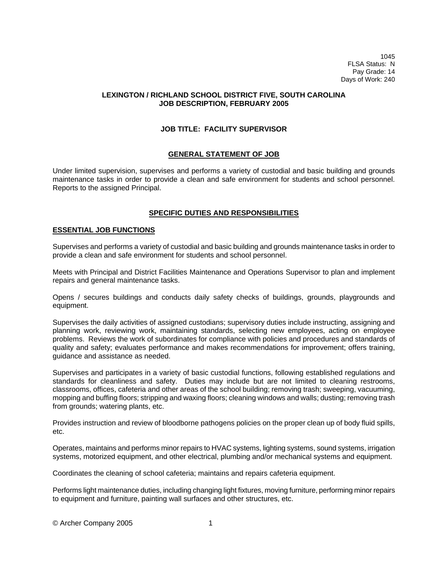1045 FLSA Status: N Pay Grade: 14 Days of Work: 240

## **LEXINGTON / RICHLAND SCHOOL DISTRICT FIVE, SOUTH CAROLINA JOB DESCRIPTION, FEBRUARY 2005**

## **JOB TITLE: FACILITY SUPERVISOR**

## **GENERAL STATEMENT OF JOB**

Under limited supervision, supervises and performs a variety of custodial and basic building and grounds maintenance tasks in order to provide a clean and safe environment for students and school personnel. Reports to the assigned Principal.

# **SPECIFIC DUTIES AND RESPONSIBILITIES**

### **ESSENTIAL JOB FUNCTIONS**

Supervises and performs a variety of custodial and basic building and grounds maintenance tasks in order to provide a clean and safe environment for students and school personnel.

Meets with Principal and District Facilities Maintenance and Operations Supervisor to plan and implement repairs and general maintenance tasks.

Opens / secures buildings and conducts daily safety checks of buildings, grounds, playgrounds and equipment.

Supervises the daily activities of assigned custodians; supervisory duties include instructing, assigning and planning work, reviewing work, maintaining standards, selecting new employees, acting on employee problems. Reviews the work of subordinates for compliance with policies and procedures and standards of quality and safety; evaluates performance and makes recommendations for improvement; offers training, guidance and assistance as needed.

Supervises and participates in a variety of basic custodial functions, following established regulations and standards for cleanliness and safety. Duties may include but are not limited to cleaning restrooms, classrooms, offices, cafeteria and other areas of the school building; removing trash; sweeping, vacuuming, mopping and buffing floors; stripping and waxing floors; cleaning windows and walls; dusting; removing trash from grounds; watering plants, etc.

Provides instruction and review of bloodborne pathogens policies on the proper clean up of body fluid spills, etc.

Operates, maintains and performs minor repairs to HVAC systems, lighting systems, sound systems, irrigation systems, motorized equipment, and other electrical, plumbing and/or mechanical systems and equipment.

Coordinates the cleaning of school cafeteria; maintains and repairs cafeteria equipment.

Performs light maintenance duties, including changing light fixtures, moving furniture, performing minor repairs to equipment and furniture, painting wall surfaces and other structures, etc.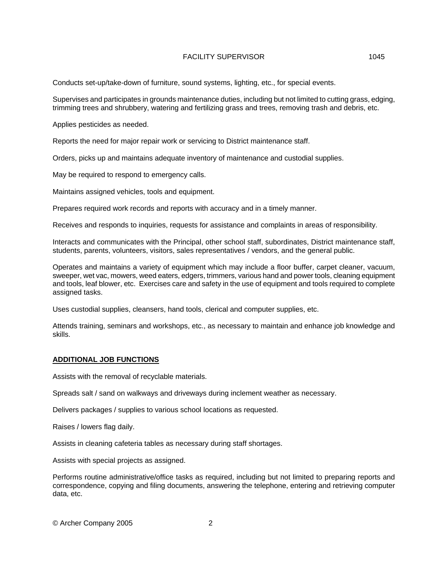Conducts set-up/take-down of furniture, sound systems, lighting, etc., for special events.

Supervises and participates in grounds maintenance duties, including but not limited to cutting grass, edging, trimming trees and shrubbery, watering and fertilizing grass and trees, removing trash and debris, etc.

Applies pesticides as needed.

Reports the need for major repair work or servicing to District maintenance staff.

Orders, picks up and maintains adequate inventory of maintenance and custodial supplies.

May be required to respond to emergency calls.

Maintains assigned vehicles, tools and equipment.

Prepares required work records and reports with accuracy and in a timely manner.

Receives and responds to inquiries, requests for assistance and complaints in areas of responsibility.

Interacts and communicates with the Principal, other school staff, subordinates, District maintenance staff, students, parents, volunteers, visitors, sales representatives / vendors, and the general public.

Operates and maintains a variety of equipment which may include a floor buffer, carpet cleaner, vacuum, sweeper, wet vac, mowers, weed eaters, edgers, trimmers, various hand and power tools, cleaning equipment and tools, leaf blower, etc. Exercises care and safety in the use of equipment and tools required to complete assigned tasks.

Uses custodial supplies, cleansers, hand tools, clerical and computer supplies, etc.

Attends training, seminars and workshops, etc., as necessary to maintain and enhance job knowledge and skills.

## **ADDITIONAL JOB FUNCTIONS**

Assists with the removal of recyclable materials.

Spreads salt / sand on walkways and driveways during inclement weather as necessary.

Delivers packages / supplies to various school locations as requested.

Raises / lowers flag daily.

Assists in cleaning cafeteria tables as necessary during staff shortages.

Assists with special projects as assigned.

Performs routine administrative/office tasks as required, including but not limited to preparing reports and correspondence, copying and filing documents, answering the telephone, entering and retrieving computer data, etc.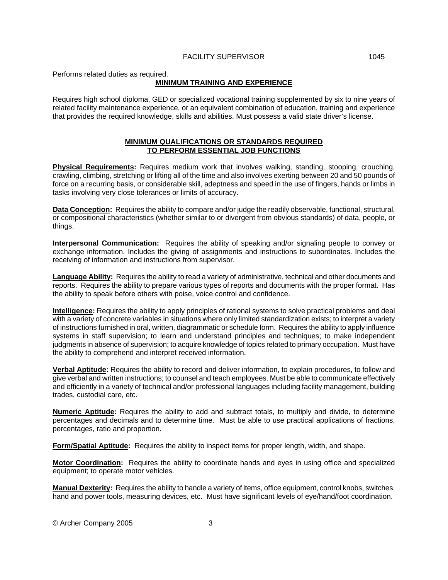Performs related duties as required.

## **MINIMUM TRAINING AND EXPERIENCE**

Requires high school diploma, GED or specialized vocational training supplemented by six to nine years of related facility maintenance experience, or an equivalent combination of education, training and experience that provides the required knowledge, skills and abilities. Must possess a valid state driver's license.

### **MINIMUM QUALIFICATIONS OR STANDARDS REQUIRED TO PERFORM ESSENTIAL JOB FUNCTIONS**

**Physical Requirements:** Requires medium work that involves walking, standing, stooping, crouching, crawling, climbing, stretching or lifting all of the time and also involves exerting between 20 and 50 pounds of force on a recurring basis, or considerable skill, adeptness and speed in the use of fingers, hands or limbs in tasks involving very close tolerances or limits of accuracy.

**Data Conception:** Requires the ability to compare and/or judge the readily observable, functional, structural, or compositional characteristics (whether similar to or divergent from obvious standards) of data, people, or things.

**Interpersonal Communication:** Requires the ability of speaking and/or signaling people to convey or exchange information. Includes the giving of assignments and instructions to subordinates. Includes the receiving of information and instructions from supervisor.

**Language Ability:** Requires the ability to read a variety of administrative, technical and other documents and reports. Requires the ability to prepare various types of reports and documents with the proper format. Has the ability to speak before others with poise, voice control and confidence.

**Intelligence:** Requires the ability to apply principles of rational systems to solve practical problems and deal with a variety of concrete variables in situations where only limited standardization exists; to interpret a variety of instructions furnished in oral, written, diagrammatic or schedule form. Requires the ability to apply influence systems in staff supervision; to learn and understand principles and techniques; to make independent judgments in absence of supervision; to acquire knowledge of topics related to primary occupation. Must have the ability to comprehend and interpret received information.

**Verbal Aptitude:** Requires the ability to record and deliver information, to explain procedures, to follow and give verbal and written instructions; to counsel and teach employees. Must be able to communicate effectively and efficiently in a variety of technical and/or professional languages including facility management, building trades, custodial care, etc.

**Numeric Aptitude:** Requires the ability to add and subtract totals, to multiply and divide, to determine percentages and decimals and to determine time. Must be able to use practical applications of fractions, percentages, ratio and proportion.

**Form/Spatial Aptitude:** Requires the ability to inspect items for proper length, width, and shape.

**Motor Coordination:** Requires the ability to coordinate hands and eyes in using office and specialized equipment; to operate motor vehicles.

**Manual Dexterity:** Requires the ability to handle a variety of items, office equipment, control knobs, switches, hand and power tools, measuring devices, etc. Must have significant levels of eye/hand/foot coordination.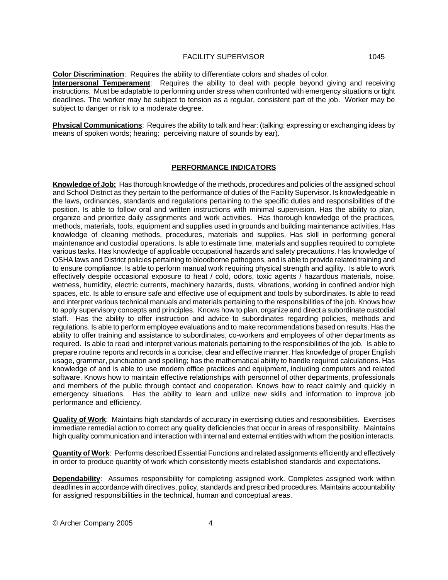**Color Discrimination**: Requires the ability to differentiate colors and shades of color. **Interpersonal Temperament**: Requires the ability to deal with people beyond giving and receiving

instructions. Must be adaptable to performing under stress when confronted with emergency situations or tight deadlines. The worker may be subject to tension as a regular, consistent part of the job. Worker may be subject to danger or risk to a moderate degree.

**Physical Communications**: Requires the ability to talk and hear: (talking: expressing or exchanging ideas by means of spoken words; hearing: perceiving nature of sounds by ear).

# **PERFORMANCE INDICATORS**

**Knowledge of Job:** Has thorough knowledge of the methods, procedures and policies of the assigned school and School District as they pertain to the performance of duties of the Facility Supervisor. Is knowledgeable in the laws, ordinances, standards and regulations pertaining to the specific duties and responsibilities of the position. Is able to follow oral and written instructions with minimal supervision. Has the ability to plan, organize and prioritize daily assignments and work activities. Has thorough knowledge of the practices, methods, materials, tools, equipment and supplies used in grounds and building maintenance activities. Has knowledge of cleaning methods, procedures, materials and supplies. Has skill in performing general maintenance and custodial operations. Is able to estimate time, materials and supplies required to complete various tasks. Has knowledge of applicable occupational hazards and safety precautions. Has knowledge of OSHA laws and District policies pertaining to bloodborne pathogens, and is able to provide related training and to ensure compliance. Is able to perform manual work requiring physical strength and agility. Is able to work effectively despite occasional exposure to heat / cold, odors, toxic agents / hazardous materials, noise, wetness, humidity, electric currents, machinery hazards, dusts, vibrations, working in confined and/or high spaces, etc. Is able to ensure safe and effective use of equipment and tools by subordinates. Is able to read and interpret various technical manuals and materials pertaining to the responsibilities of the job. Knows how to apply supervisory concepts and principles. Knows how to plan, organize and direct a subordinate custodial staff. Has the ability to offer instruction and advice to subordinates regarding policies, methods and regulations. Is able to perform employee evaluations and to make recommendations based on results. Has the ability to offer training and assistance to subordinates, co-workers and employees of other departments as required. Is able to read and interpret various materials pertaining to the responsibilities of the job. Is able to prepare routine reports and records in a concise, clear and effective manner. Has knowledge of proper English usage, grammar, punctuation and spelling; has the mathematical ability to handle required calculations. Has knowledge of and is able to use modern office practices and equipment, including computers and related software. Knows how to maintain effective relationships with personnel of other departments, professionals and members of the public through contact and cooperation. Knows how to react calmly and quickly in emergency situations. Has the ability to learn and utilize new skills and information to improve job performance and efficiency.

**Quality of Work**: Maintains high standards of accuracy in exercising duties and responsibilities. Exercises immediate remedial action to correct any quality deficiencies that occur in areas of responsibility. Maintains high quality communication and interaction with internal and external entities with whom the position interacts.

**Quantity of Work**: Performs described Essential Functions and related assignments efficiently and effectively in order to produce quantity of work which consistently meets established standards and expectations.

**Dependability**: Assumes responsibility for completing assigned work. Completes assigned work within deadlines in accordance with directives, policy, standards and prescribed procedures. Maintains accountability for assigned responsibilities in the technical, human and conceptual areas.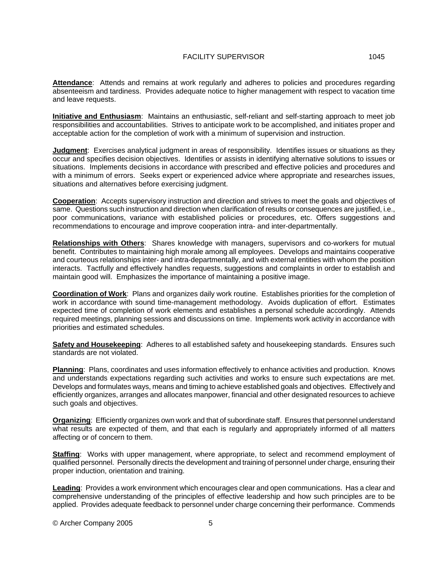**Attendance**: Attends and remains at work regularly and adheres to policies and procedures regarding absenteeism and tardiness. Provides adequate notice to higher management with respect to vacation time and leave requests.

**Initiative and Enthusiasm**: Maintains an enthusiastic, self-reliant and self-starting approach to meet job responsibilities and accountabilities. Strives to anticipate work to be accomplished, and initiates proper and acceptable action for the completion of work with a minimum of supervision and instruction.

**Judgment**: Exercises analytical judgment in areas of responsibility. Identifies issues or situations as they occur and specifies decision objectives. Identifies or assists in identifying alternative solutions to issues or situations. Implements decisions in accordance with prescribed and effective policies and procedures and with a minimum of errors. Seeks expert or experienced advice where appropriate and researches issues, situations and alternatives before exercising judgment.

**Cooperation**: Accepts supervisory instruction and direction and strives to meet the goals and objectives of same. Questions such instruction and direction when clarification of results or consequences are justified, i.e., poor communications, variance with established policies or procedures, etc. Offers suggestions and recommendations to encourage and improve cooperation intra- and inter-departmentally.

**Relationships with Others**: Shares knowledge with managers, supervisors and co-workers for mutual benefit. Contributes to maintaining high morale among all employees. Develops and maintains cooperative and courteous relationships inter- and intra-departmentally, and with external entities with whom the position interacts. Tactfully and effectively handles requests, suggestions and complaints in order to establish and maintain good will. Emphasizes the importance of maintaining a positive image.

**Coordination of Work**: Plans and organizes daily work routine. Establishes priorities for the completion of work in accordance with sound time-management methodology. Avoids duplication of effort. Estimates expected time of completion of work elements and establishes a personal schedule accordingly. Attends required meetings, planning sessions and discussions on time. Implements work activity in accordance with priorities and estimated schedules.

**Safety and Housekeeping**: Adheres to all established safety and housekeeping standards. Ensures such standards are not violated.

**Planning**: Plans, coordinates and uses information effectively to enhance activities and production. Knows and understands expectations regarding such activities and works to ensure such expectations are met. Develops and formulates ways, means and timing to achieve established goals and objectives. Effectively and efficiently organizes, arranges and allocates manpower, financial and other designated resources to achieve such goals and objectives.

**Organizing**: Efficiently organizes own work and that of subordinate staff. Ensures that personnel understand what results are expected of them, and that each is regularly and appropriately informed of all matters affecting or of concern to them.

**Staffing**: Works with upper management, where appropriate, to select and recommend employment of qualified personnel. Personally directs the development and training of personnel under charge, ensuring their proper induction, orientation and training.

**Leading**: Provides a work environment which encourages clear and open communications. Has a clear and comprehensive understanding of the principles of effective leadership and how such principles are to be applied. Provides adequate feedback to personnel under charge concerning their performance. Commends